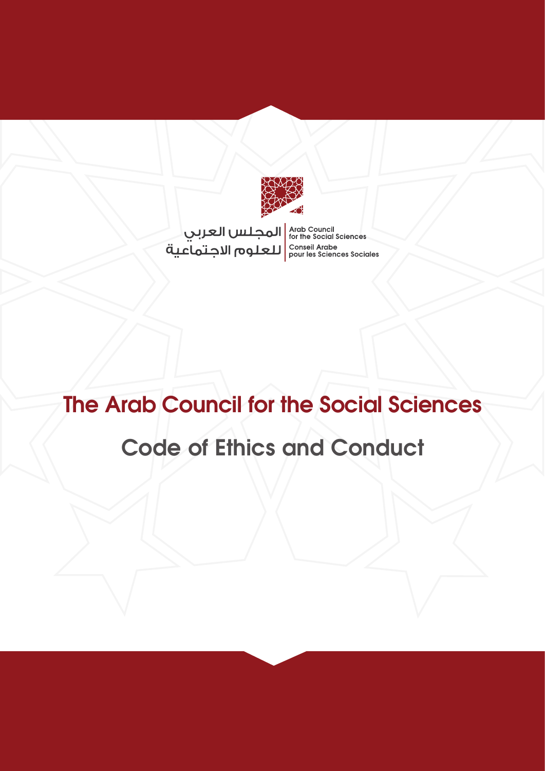

المجلس العربي<br>for the Social Sciences<br>conseil Arabe الاجتماعية<br>conseil Arabe pour les Sciences Sociales

# **The Arab Council for the Social Sciences Code of Ethics and Conduct**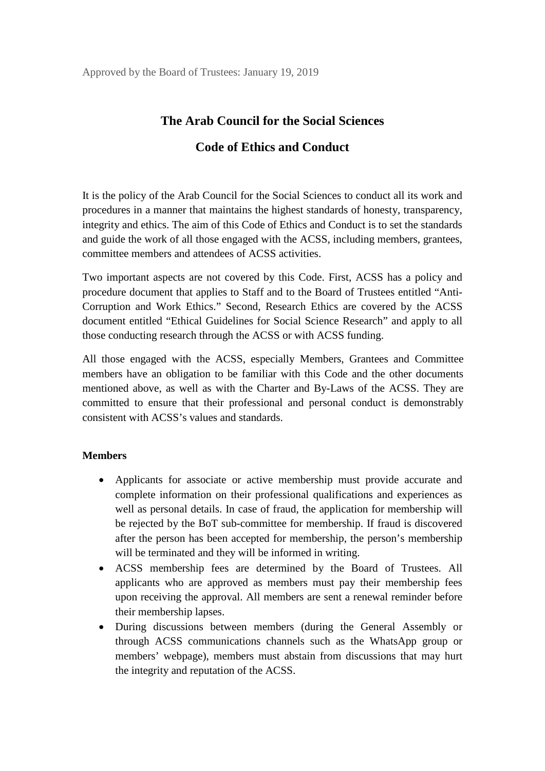## **The Arab Council for the Social Sciences**

### **Code of Ethics and Conduct**

It is the policy of the Arab Council for the Social Sciences to conduct all its work and procedures in a manner that maintains the highest standards of honesty, transparency, integrity and ethics. The aim of this Code of Ethics and Conduct is to set the standards and guide the work of all those engaged with the ACSS, including members, grantees, committee members and attendees of ACSS activities.

Two important aspects are not covered by this Code. First, ACSS has a policy and procedure document that applies to Staff and to the Board of Trustees entitled "Anti-Corruption and Work Ethics." Second, Research Ethics are covered by the ACSS document entitled "Ethical Guidelines for Social Science Research" and apply to all those conducting research through the ACSS or with ACSS funding.

All those engaged with the ACSS, especially Members, Grantees and Committee members have an obligation to be familiar with this Code and the other documents mentioned above, as well as with the Charter and By-Laws of the ACSS. They are committed to ensure that their professional and personal conduct is demonstrably consistent with ACSS's values and standards.

#### **Members**

- Applicants for associate or active membership must provide accurate and complete information on their professional qualifications and experiences as well as personal details. In case of fraud, the application for membership will be rejected by the BoT sub-committee for membership. If fraud is discovered after the person has been accepted for membership, the person's membership will be terminated and they will be informed in writing.
- ACSS membership fees are determined by the Board of Trustees. All applicants who are approved as members must pay their membership fees upon receiving the approval. All members are sent a renewal reminder before their membership lapses.
- During discussions between members (during the General Assembly or through ACSS communications channels such as the WhatsApp group or members' webpage), members must abstain from discussions that may hurt the integrity and reputation of the ACSS.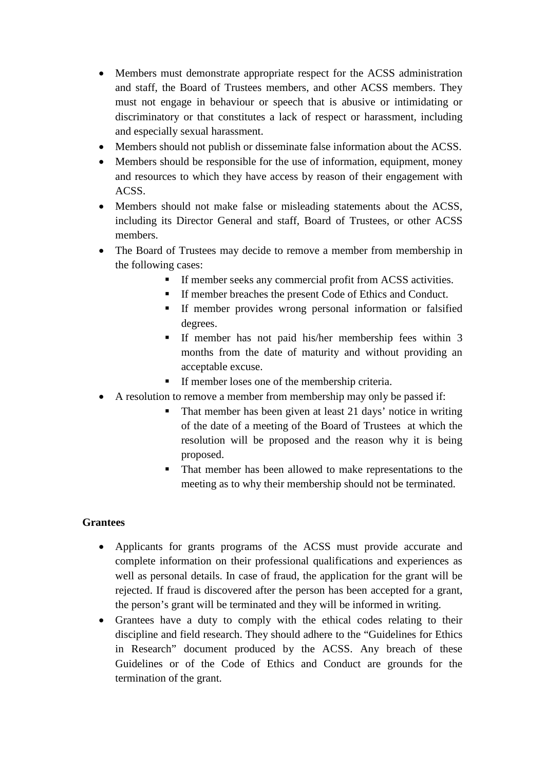- Members must demonstrate appropriate respect for the ACSS administration and staff, the Board of Trustees members, and other ACSS members. They must not engage in behaviour or speech that is abusive or intimidating or discriminatory or that constitutes a lack of respect or harassment, including and especially sexual harassment.
- Members should not publish or disseminate false information about the ACSS.
- Members should be responsible for the use of information, equipment, money and resources to which they have access by reason of their engagement with ACSS.
- Members should not make false or misleading statements about the ACSS, including its Director General and staff, Board of Trustees, or other ACSS members.
- The Board of Trustees may decide to remove a member from membership in the following cases:
	- If member seeks any commercial profit from ACSS activities.
	- If member breaches the present Code of Ethics and Conduct.
	- If member provides wrong personal information or falsified degrees.
	- If member has not paid his/her membership fees within 3 months from the date of maturity and without providing an acceptable excuse.
	- If member loses one of the membership criteria.
- A resolution to remove a member from membership may only be passed if:
	- That member has been given at least 21 days' notice in writing of the date of a meeting of the Board of Trustees at which the resolution will be proposed and the reason why it is being proposed.
	- That member has been allowed to make representations to the meeting as to why their membership should not be terminated.

#### **Grantees**

- Applicants for grants programs of the ACSS must provide accurate and complete information on their professional qualifications and experiences as well as personal details. In case of fraud, the application for the grant will be rejected. If fraud is discovered after the person has been accepted for a grant, the person's grant will be terminated and they will be informed in writing.
- Grantees have a duty to comply with the ethical codes relating to their discipline and field research. They should adhere to the "Guidelines for Ethics in Research" document produced by the ACSS. Any breach of these Guidelines or of the Code of Ethics and Conduct are grounds for the termination of the grant.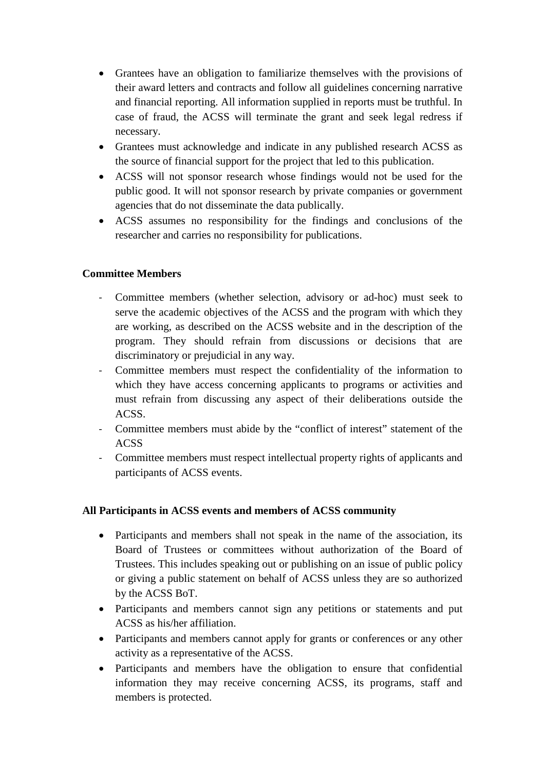- Grantees have an obligation to familiarize themselves with the provisions of their award letters and contracts and follow all guidelines concerning narrative and financial reporting. All information supplied in reports must be truthful. In case of fraud, the ACSS will terminate the grant and seek legal redress if necessary.
- Grantees must acknowledge and indicate in any published research ACSS as the source of financial support for the project that led to this publication.
- ACSS will not sponsor research whose findings would not be used for the public good. It will not sponsor research by private companies or government agencies that do not disseminate the data publically.
- ACSS assumes no responsibility for the findings and conclusions of the researcher and carries no responsibility for publications.

#### **Committee Members**

- Committee members (whether selection, advisory or ad-hoc) must seek to serve the academic objectives of the ACSS and the program with which they are working, as described on the ACSS website and in the description of the program. They should refrain from discussions or decisions that are discriminatory or prejudicial in any way.
- Committee members must respect the confidentiality of the information to which they have access concerning applicants to programs or activities and must refrain from discussing any aspect of their deliberations outside the ACSS.
- Committee members must abide by the "conflict of interest" statement of the ACSS
- Committee members must respect intellectual property rights of applicants and participants of ACSS events.

#### **All Participants in ACSS events and members of ACSS community**

- Participants and members shall not speak in the name of the association, its Board of Trustees or committees without authorization of the Board of Trustees. This includes speaking out or publishing on an issue of public policy or giving a public statement on behalf of ACSS unless they are so authorized by the ACSS BoT.
- Participants and members cannot sign any petitions or statements and put ACSS as his/her affiliation.
- Participants and members cannot apply for grants or conferences or any other activity as a representative of the ACSS.
- Participants and members have the obligation to ensure that confidential information they may receive concerning ACSS, its programs, staff and members is protected.